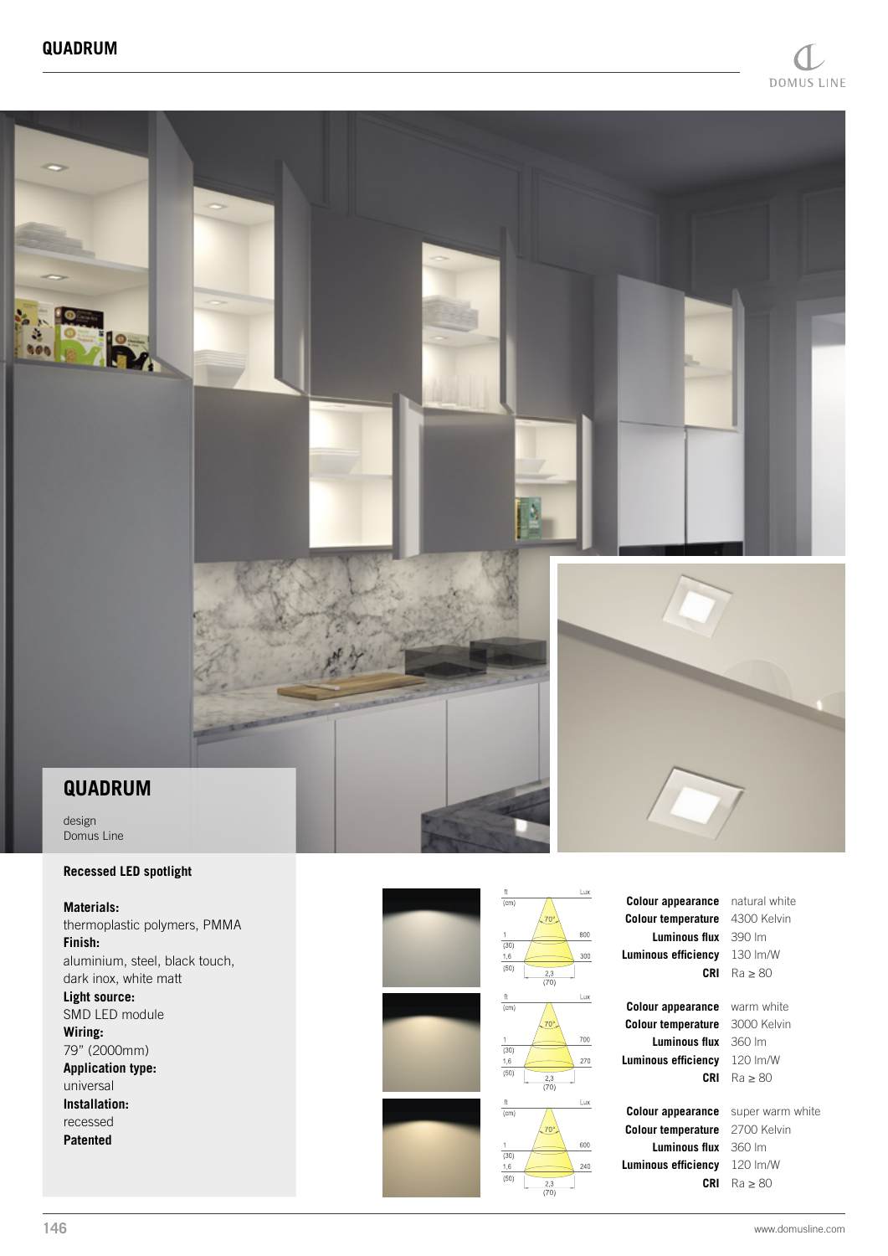

## **Recessed LED spotlight**

**Materials:** thermoplastic polymers, PMMA **Finish:** aluminium, steel, black touch, dark inox, white matt **Light source:** SMD LED module **Wiring:** 79" (2000mm) **Application type:** universal **Installation:** recessed **Patented**



| <b>Colour appearance</b>   |
|----------------------------|
| <b>Colour temperature</b>  |
| Luminous flux              |
| <b>Luminous efficiency</b> |
| CRI                        |

**Colour appearance** warm white **Colour temperature** 3000 Kelvin **Luminous flux** 360 lm **Luminous efficiency** 120 lm/W

**Colour appearance** super warm white **Colour temperature** 2700 Kelvin **Luminous flux** 360 lm **Luminous efficiency** 120 lm/W

## natural white 4300 Kelvin 390 lm 130 lm/W Ra ≥ 80

**CRI** Ra ≥ 80

**CRI** Ra ≥ 80